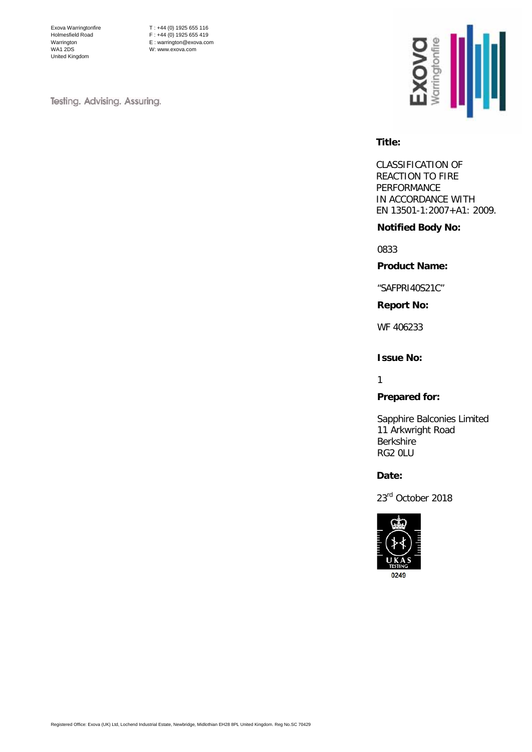Exova Warringtonfire Holmesfield Road Warrington WA1 2DS United Kingdom

T : +44 (0) 1925 655 116  $F : +44 (0) 1925 655 419$ E : warrington@exova.com W: www.exova.com

Testing. Advising. Assuring.



#### **Title:**

CLASSIFICATION OF REACTION TO FIRE PERFORMANCE IN ACCORDANCE WITH EN 13501-1:2007+A1: 2009.

#### **Notified Body No:**

0833

#### **Product Name:**

"SAFPRI40S21C"

#### **Report No:**

WF 406233

#### **Issue No:**

1

# **Prepared for:**

Sapphire Balconies Limited 11 Arkwright Road Berkshire RG2 0LU

#### **Date:**

23rd October 2018

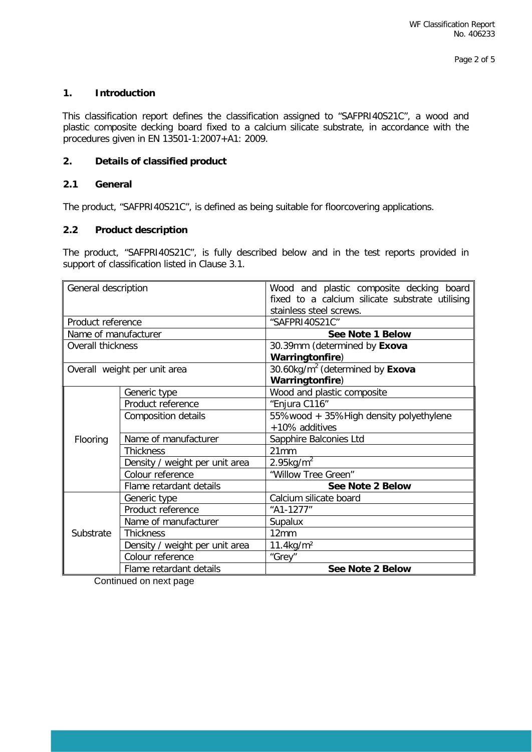# **1. Introduction**

This classification report defines the classification assigned to "SAFPRI40S21C", a wood and plastic composite decking board fixed to a calcium silicate substrate, in accordance with the procedures given in EN 13501-1:2007+A1: 2009.

#### **2. Details of classified product**

# **2.1 General**

The product, "SAFPRI40S21C", is defined as being suitable for floorcovering applications.

# **2.2 Product description**

The product, "SAFPRI40S21C", is fully described below and in the test reports provided in support of classification listed in Clause 3.1.

| General description  |                                | Wood and plastic composite decking board        |  |  |
|----------------------|--------------------------------|-------------------------------------------------|--|--|
|                      |                                | fixed to a calcium silicate substrate utilising |  |  |
|                      |                                | stainless steel screws.                         |  |  |
| Product reference    |                                | "SAFPRI40S21C"                                  |  |  |
| Name of manufacturer |                                | See Note 1 Below                                |  |  |
| Overall thickness    |                                | 30.39mm (determined by Exova                    |  |  |
|                      |                                | Warringtonfire)                                 |  |  |
|                      | Overall weight per unit area   | 30.60 $kg/m2$ (determined by Exova              |  |  |
|                      |                                | Warringtonfire)                                 |  |  |
|                      | Generic type                   | Wood and plastic composite                      |  |  |
|                      | Product reference              | "Enjura C116"                                   |  |  |
|                      | <b>Composition details</b>     | 55%wood + 35%High density polyethylene          |  |  |
|                      |                                | +10% additives                                  |  |  |
| Flooring             | Name of manufacturer           | Sapphire Balconies Ltd                          |  |  |
|                      | <b>Thickness</b>               | 21mm                                            |  |  |
|                      | Density / weight per unit area | $2.95$ kg/m <sup>2</sup>                        |  |  |
|                      | Colour reference               | "Willow Tree Green"                             |  |  |
|                      | Flame retardant details        | See Note 2 Below                                |  |  |
|                      | Generic type                   | Calcium silicate board                          |  |  |
| Substrate            | Product reference              | "A1-1277"                                       |  |  |
|                      | Name of manufacturer           | Supalux                                         |  |  |
|                      | <b>Thickness</b>               | 12mm                                            |  |  |
|                      | Density / weight per unit area | $11.4$ kg/m <sup>2</sup>                        |  |  |
|                      | Colour reference               | "Grey"                                          |  |  |
|                      | Flame retardant details        | See Note 2 Below                                |  |  |

Continued on next page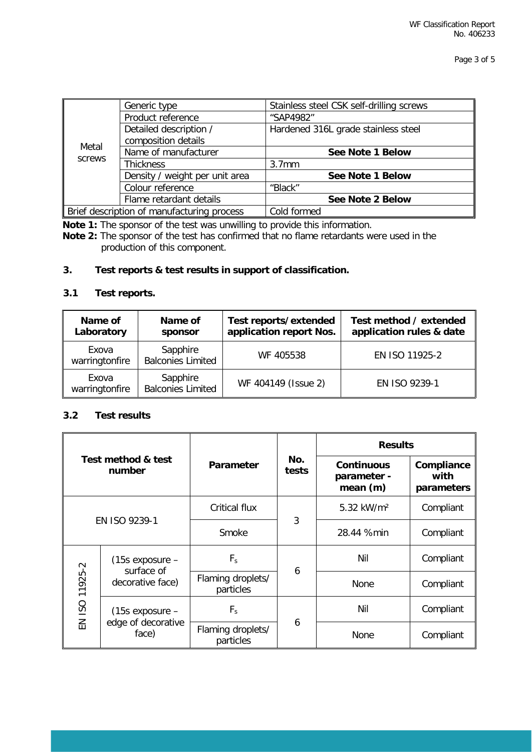| Metal<br>screws                            | Generic type                   | Stainless steel CSK self-drilling screws |  |  |
|--------------------------------------------|--------------------------------|------------------------------------------|--|--|
|                                            | Product reference              | "SAP4982"                                |  |  |
|                                            | Detailed description /         | Hardened 316L grade stainless steel      |  |  |
|                                            | composition details            |                                          |  |  |
|                                            | Name of manufacturer           | See Note 1 Below                         |  |  |
|                                            | <b>Thickness</b>               | 3.7 <sub>mm</sub>                        |  |  |
|                                            | Density / weight per unit area | See Note 1 Below                         |  |  |
|                                            | Colour reference               | "Black"                                  |  |  |
|                                            | Flame retardant details        | See Note 2 Below                         |  |  |
| Brief description of manufacturing process |                                | Cold formed                              |  |  |

**Note 1:** The sponsor of the test was unwilling to provide this information.

**Note 2:** The sponsor of the test has confirmed that no flame retardants were used in the production of this component.

# **3. Test reports & test results in support of classification.**

# **3.1 Test reports.**

| Name of<br>Laboratory   | Name of<br>sponsor                   | Test reports/extended<br>application report Nos. | Test method / extended<br>application rules & date |
|-------------------------|--------------------------------------|--------------------------------------------------|----------------------------------------------------|
| Exova<br>warringtonfire | Sapphire<br><b>Balconies Limited</b> | WF 405538                                        | EN ISO 11925-2                                     |
| Exova<br>warringtonfire | Sapphire<br><b>Balconies Limited</b> | WF 404149 (Issue 2)                              | EN ISO 9239-1                                      |

# **3.2 Test results**

| Test method & test<br>number |                                                       | Parameter                      |              | <b>Results</b>                               |                                  |
|------------------------------|-------------------------------------------------------|--------------------------------|--------------|----------------------------------------------|----------------------------------|
|                              |                                                       |                                | No.<br>tests | <b>Continuous</b><br>parameter -<br>mean (m) | Compliance<br>with<br>parameters |
| EN ISO 9239-1                |                                                       | <b>Critical flux</b>           |              | 5.32 kW/m <sup>2</sup>                       | Compliant                        |
|                              |                                                       | Smoke                          | 3            | 28.44 %min                                   | Compliant                        |
| EN ISO 11925-2               | $(15s$ exposure $-$<br>surface of<br>decorative face) | $F_s$                          | 6            | Nil                                          | Compliant                        |
|                              |                                                       | Flaming droplets/<br>particles |              | None                                         | Compliant                        |
|                              | $(15s$ exposure $-$<br>edge of decorative<br>face)    | $F_s$                          | 6            | Nil                                          | Compliant                        |
|                              |                                                       | Flaming droplets/<br>particles |              | None                                         | Compliant                        |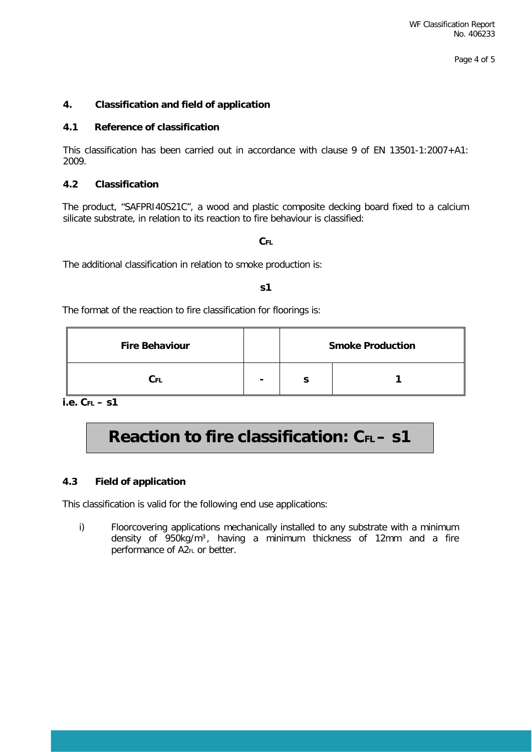Page 4 of 5

# **4. Classification and field of application**

# **4.1 Reference of classification**

This classification has been carried out in accordance with clause 9 of EN 13501-1:2007+A1: 2009.

# **4.2 Classification**

The product, "SAFPRI40S21C", a wood and plastic composite decking board fixed to a calcium silicate substrate, in relation to its reaction to fire behaviour is classified:

#### **CFL**

The additional classification in relation to smoke production is:

#### **s1**

The format of the reaction to fire classification for floorings is:

| <b>Fire Behaviour</b> |   | <b>Smoke Production</b> |  |  |
|-----------------------|---|-------------------------|--|--|
| Cы                    | - |                         |  |  |

**i.e. CFL – s1** 

# **Reaction to fire classification: CFL - S1**

# **4.3 Field of application**

This classification is valid for the following end use applications:

i) Floorcovering applications mechanically installed to any substrate with a minimum density of 950kg/m<sup>3</sup>, having a minimum thickness of 12mm and a fire performance of A2FL or better.